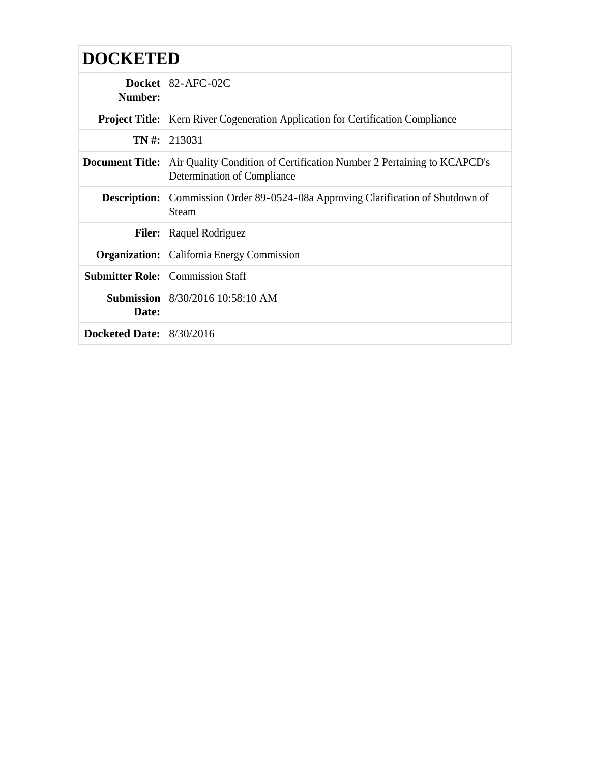| <b>DOCKETED</b>            |                                                                                                       |  |
|----------------------------|-------------------------------------------------------------------------------------------------------|--|
| Number:                    | Docket   82-AFC-02C                                                                                   |  |
| <b>Project Title:</b>      | Kern River Cogeneration Application for Certification Compliance                                      |  |
|                            | $TN \#: 213031$                                                                                       |  |
| <b>Document Title:</b>     | Air Quality Condition of Certification Number 2 Pertaining to KCAPCD's<br>Determination of Compliance |  |
| <b>Description:</b>        | Commission Order 89-0524-08a Approving Clarification of Shutdown of<br><b>Steam</b>                   |  |
| <b>Filer:</b>              | Raquel Rodriguez                                                                                      |  |
|                            | <b>Organization:</b>   California Energy Commission                                                   |  |
|                            | <b>Submitter Role:</b> Commission Staff                                                               |  |
| Submission<br>Date:        | 8/30/2016 10:58:10 AM                                                                                 |  |
| Docketed Date: $8/30/2016$ |                                                                                                       |  |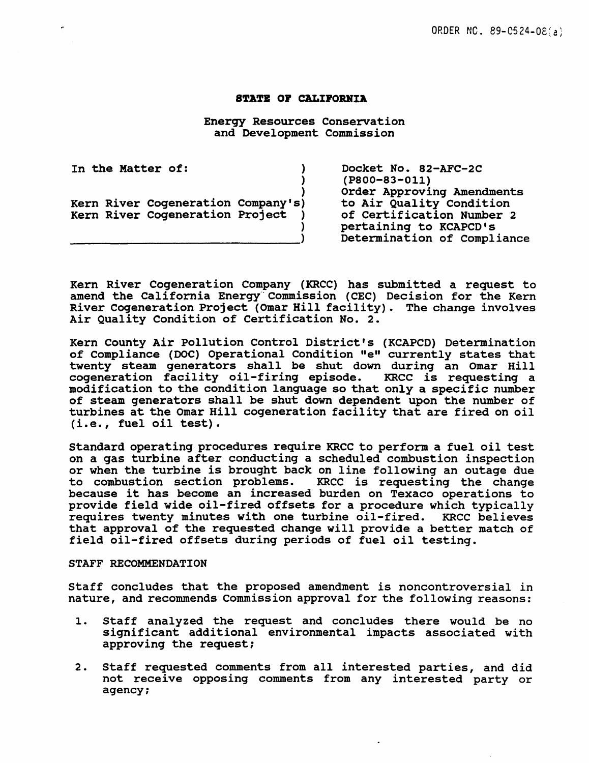#### STATE OF CALIFORNIA

Energy Resources Conservation and Development Commission

In the Matter of: (1) ) ) Kern River Coqeneration Company's) Kern River Coqeneration Project ) )

~~~~~~~~~~~~------~---->

Docket No. 82-AFC-2C (PS00-83-011) Order Approving Amendments to Air Quality Condition of Certification Number 2 pertaining to KCAPCD's Determination of Compliance

Kern River Cogeneration Company (KRCC) has submitted a request to amend the California Energy Commission (CEC) Decision for the Kern River Cogeneration Project (omar Hill facility). The change involves Air Quality Condition of Certification No. 2.

Kern County Air Pollution Control District's (KCAPCD) Determination of Compliance (DOC) Operational Condition "e" currently states that twenty steam generators shall be shut down during an Omar Hill<br>cogeneration facility oil-firing episode. KRCC is requesting a cogeneration facility oil-firing episode. modification to the condition language so that only a specific number of steam generators shall be shut down dependent upon the number of turbines at the Omar Hill cogeneration facility that are fired on oil (i.e., fuel oil test).

Standard operating procedures require KRCC to perform a fuel oil test on a gas turbine after conducting a scheduled combustion inspection or when the turbine is brought back on line following an outage due<br>to combustion section problems. KRCC is requesting the change to combustion section problems. because it has become an increased burden on Texaco operations to provide field wide oil-fired offsets for a procedure which typically requires twenty minutes with one turbine oil-fired. KRCC believes that approval of the requested change will provide a better match of field oil-fired offsets during periods of fuel oil testing.

#### STAFF RECOMMENDATION

Staff concludes that the proposed amendment is noncontroversial in nature, and recommends Commission approval for the following reasons:

- 1. Staff analyzed the request and concludes there would be no significant additional environmental impacts associated with approving the request;
- 2. Staff requested comments from all interested parties, and did not receive opposing comments from any interested party or agency;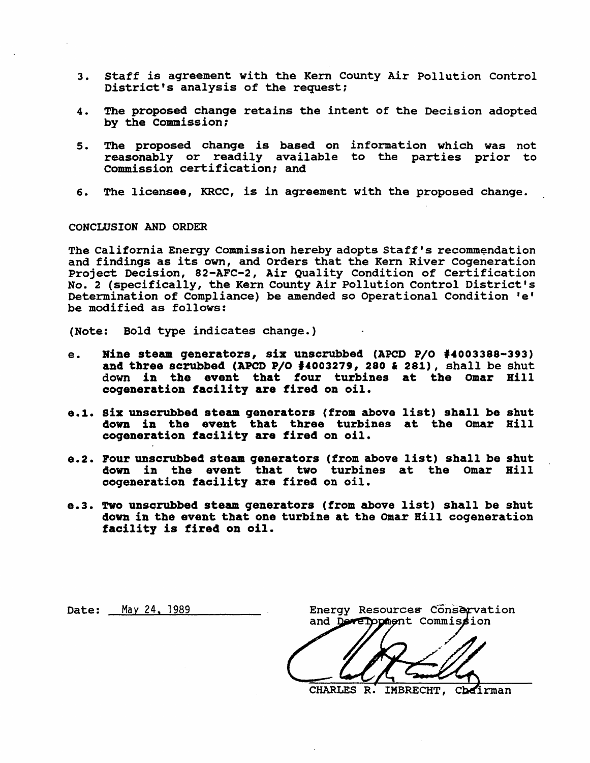- 3. staff is agreement with the Kern County Air Pollution Control District's analysis of the request:
- 4. The proposed chanqe retains the intent of the Decision adopted by the Commission;
- 5. The proposed change is based on information which was not reasonably or readily available to the parties prior to Commission certification; and
- 6. The licensee, KRCC, is in agreement with the proposed change.

#### CONCLUSION AND ORDER

The California Energy Commission hereby adopts Staff's recommendation and findings as its own, and Orders that the Kern River Cogeneration Project Decision, 82-AFC-2, Air Quality Condition of Certification No. 2 (specifically, the Kern County Air Pollution Control District's Determination of Compliance) be amended so Operational Condition 'e' be modified as follows:

(Note: Bold type indicates change.)

- e. Nine steam generators, six unscrubbed (APCD P/O f4003388-393) and three scrubbed (APCD P/O  $\frac{4003279}{1003279}$ , 280 & 281), shall be shut down in the event that four turbines at the Omar Rill coqeneration facility are fired on oil.
- e.1. Six unscrubbed steam generators (from above list) shall be shut down in the event that three turbines at the Omar Bill cogeneration facility are fired on oil.
- e.2. Pour unscrubbed steam generators (from above list) shall be shut down in the event that two turbines at the Omar Bill cogeneration facility are fired on oil.
- e.3. Two unscrubbed steam generators (from above list) shall be shut down in the event that one turbine at the Omar Bill coqeneration facility is fired on oil.

Date: May 24, 1989

Energy Resources Conservation and Development Commission

CHARLES R. IMBRECHT, Chairman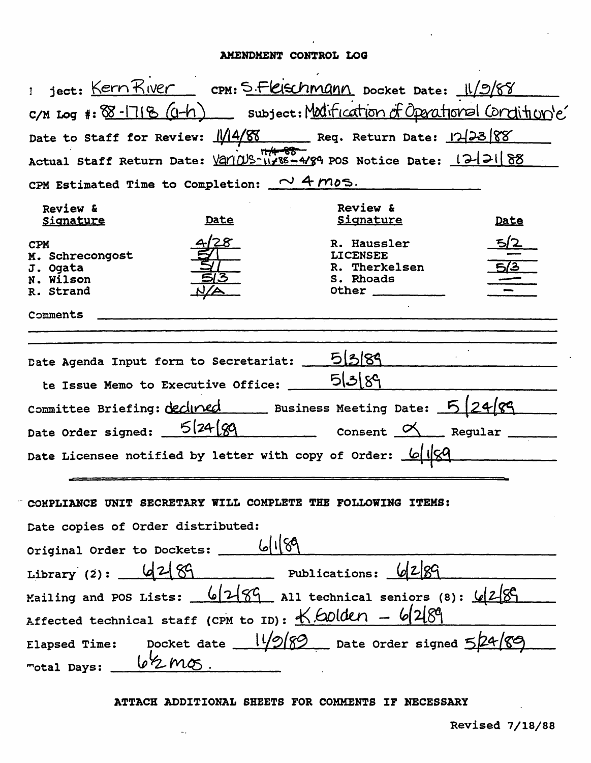### AMENDMENT CONTROL LOG

|                                                                     |      | Ject: Kern River cpm: S. Fleischmann Docket Date: 11/9/88                    |      |  |  |  |
|---------------------------------------------------------------------|------|------------------------------------------------------------------------------|------|--|--|--|
|                                                                     |      |                                                                              |      |  |  |  |
|                                                                     |      | C/M Log #: 88-1718 (G-h) subject: Modification of Operational Condition's    |      |  |  |  |
|                                                                     |      | Date to Staff for Review: 114/88 Req. Return Date: 123888                    |      |  |  |  |
|                                                                     |      | Actual Staff Return Date: 12/105-11/85-4/89 POS Notice Date: 12/21 88        |      |  |  |  |
| CPM Estimated Time to Completion: $\sim$ 4 mos.                     |      |                                                                              |      |  |  |  |
| Review &<br><b>Signature</b>                                        | Date | Review &<br>Signature                                                        | Date |  |  |  |
| <b>CPM</b><br>M. Schrecongost<br>J. Ogata<br>N. Wilson<br>R. Strand |      | R. Haussler<br><b>LICENSEE</b><br>R. Therkelsen<br>S. Rhoads<br>Other $\_\_$ |      |  |  |  |
| Comments                                                            |      |                                                                              |      |  |  |  |
|                                                                     |      |                                                                              |      |  |  |  |
| Date Agenda Input form to Secretariat:                              |      | 513189                                                                       |      |  |  |  |
| te Issue Memo to Executive Office:                                  |      | 5 3 89                                                                       |      |  |  |  |
|                                                                     |      |                                                                              |      |  |  |  |
| Committee Briefing: declined Business Meeting Date: 5 24/89         |      |                                                                              |      |  |  |  |
| Date Order signed: $5/24/99$ Consent $\alpha$ Regular               |      |                                                                              |      |  |  |  |
| Date Licensee notified by letter with copy of Order: $\frac{1}{2}$  |      |                                                                              |      |  |  |  |
|                                                                     |      |                                                                              |      |  |  |  |
| COMPLIANCE UNIT SECRETARY WILL COMPLETE THE FOLLOWING ITEMS:        |      |                                                                              |      |  |  |  |
| Date copies of Order distributed:                                   |      |                                                                              |      |  |  |  |
| 6/1/89<br>Original Order to Dockets:                                |      |                                                                              |      |  |  |  |
| Library (2): $4289$<br>Publications: 6289                           |      |                                                                              |      |  |  |  |
| Mailing and POS Lists: $6/2/89$ All technical seniors (8): $6/2/89$ |      |                                                                              |      |  |  |  |
|                                                                     |      |                                                                              |      |  |  |  |
| Affected technical staff (CPM to ID): $K$ Colden - 6/289            |      |                                                                              |      |  |  |  |
| Elapsed Time: Docket date $11/2/89$ Date Order signed $5/24$        |      |                                                                              |      |  |  |  |
| $16\frac{2}{2}mg$<br>"otal Days:                                    |      |                                                                              |      |  |  |  |

J.

### ATTACH ADDITIONAL SHEETS FOR COMMENTS IF NECESSARY

 $\bar{\omega}_\sigma$ 

 $\ddot{\phantom{a}}$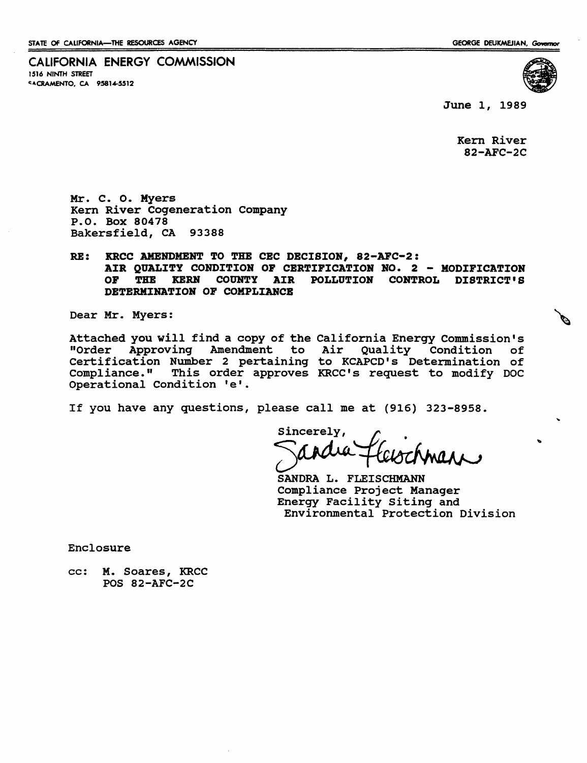CALIFORNIA ENERGY COMMISSION 1516 NINTH STREET **CACRAMENTO, CA 95814-5512** 



June 1, 1989

Kern River 82-AFC-2C

Mr. c. o. Myers Kern River Cogeneration Company P.O. Box 80478 Bakersfield, CA 93388

### RE: KRCC AMENDMENT TO THE CEC DECISION, 82-AFC-2: AIR QUALITY CONDITION OF CERTIFICATION NO. 2 - MODIFICATION<br>OF THE KERN COUNTY AIR POLLUTION CONTROL DISTRICT'S THE KERN COUNTY AIR POLLUTION CONTROL DISTRICT'S DETERMINATION OF COMPLIANCE

Dear Mr. Myers:

Attached you will find a copy of the California Energy Commission's "Order Approving Amendment to Certification Number 2 pertaining compliance." This order approves KRCC's request to modify DOC Operational Condition 'e'. Air Quality Condition of to KCAPCD's Determination of

If you have any questions, please call me at (916) 323-8958.

Sincerely,

SANDRA L. FLEISCHMANN Compliance Project Manager Energy Facility Siting and Environmental Protection Division

Enclosure

cc: M. Soares, KRCC POS 82-AFC-2C